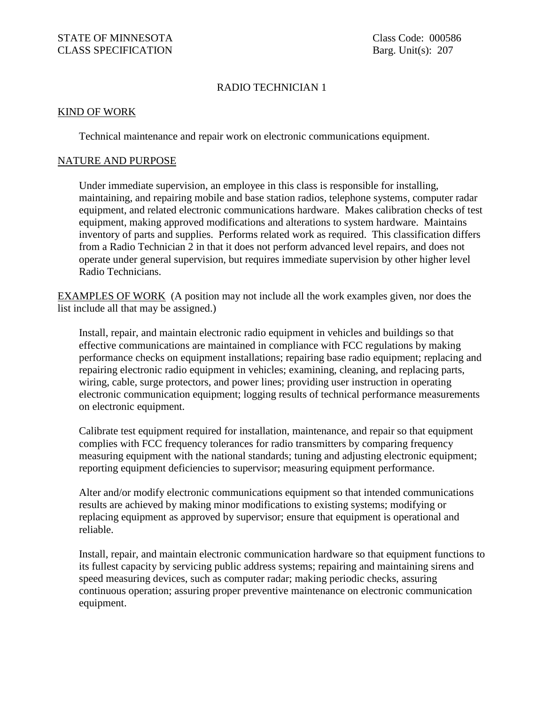## RADIO TECHNICIAN 1

## KIND OF WORK

Technical maintenance and repair work on electronic communications equipment.

## NATURE AND PURPOSE

Under immediate supervision, an employee in this class is responsible for installing, maintaining, and repairing mobile and base station radios, telephone systems, computer radar equipment, and related electronic communications hardware. Makes calibration checks of test equipment, making approved modifications and alterations to system hardware. Maintains inventory of parts and supplies. Performs related work as required. This classification differs from a Radio Technician 2 in that it does not perform advanced level repairs, and does not operate under general supervision, but requires immediate supervision by other higher level Radio Technicians.

EXAMPLES OF WORK (A position may not include all the work examples given, nor does the list include all that may be assigned.)

Install, repair, and maintain electronic radio equipment in vehicles and buildings so that effective communications are maintained in compliance with FCC regulations by making performance checks on equipment installations; repairing base radio equipment; replacing and repairing electronic radio equipment in vehicles; examining, cleaning, and replacing parts, wiring, cable, surge protectors, and power lines; providing user instruction in operating electronic communication equipment; logging results of technical performance measurements on electronic equipment.

Calibrate test equipment required for installation, maintenance, and repair so that equipment complies with FCC frequency tolerances for radio transmitters by comparing frequency measuring equipment with the national standards; tuning and adjusting electronic equipment; reporting equipment deficiencies to supervisor; measuring equipment performance.

Alter and/or modify electronic communications equipment so that intended communications results are achieved by making minor modifications to existing systems; modifying or replacing equipment as approved by supervisor; ensure that equipment is operational and reliable.

Install, repair, and maintain electronic communication hardware so that equipment functions to its fullest capacity by servicing public address systems; repairing and maintaining sirens and speed measuring devices, such as computer radar; making periodic checks, assuring continuous operation; assuring proper preventive maintenance on electronic communication equipment.